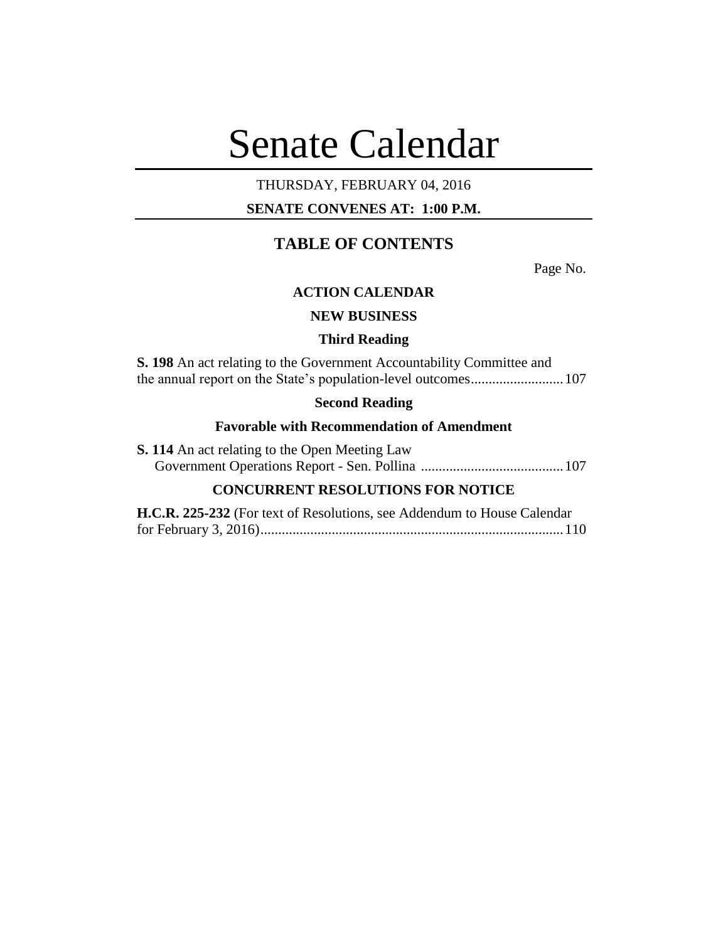# Senate Calendar

# THURSDAY, FEBRUARY 04, 2016

# **SENATE CONVENES AT: 1:00 P.M.**

# **TABLE OF CONTENTS**

Page No.

# **ACTION CALENDAR**

# **NEW BUSINESS**

## **Third Reading**

**S. 198** An act relating to the Government Accountability Committee and the annual report on the State's population-level outcomes..........................107

# **Second Reading**

# **Favorable with Recommendation of Amendment**

| <b>S. 114</b> An act relating to the Open Meeting Law |  |
|-------------------------------------------------------|--|
|                                                       |  |

# **CONCURRENT RESOLUTIONS FOR NOTICE**

| H.C.R. 225-232 (For text of Resolutions, see Addendum to House Calendar |  |
|-------------------------------------------------------------------------|--|
|                                                                         |  |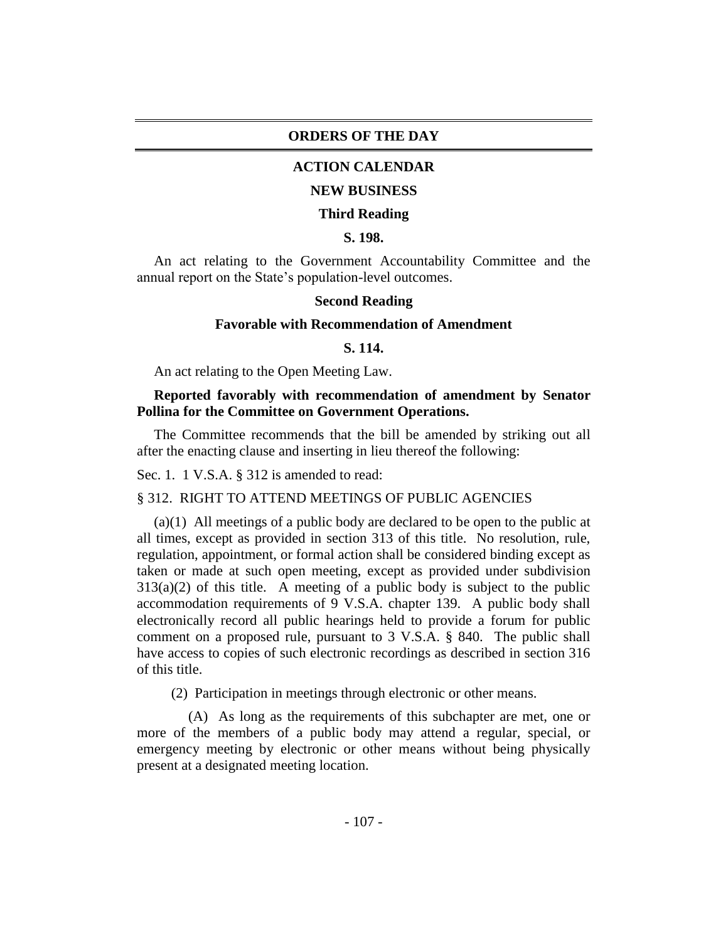## **ORDERS OF THE DAY**

# **ACTION CALENDAR**

#### **NEW BUSINESS**

#### **Third Reading**

# **S. 198.**

An act relating to the Government Accountability Committee and the annual report on the State's population-level outcomes.

## **Second Reading**

#### **Favorable with Recommendation of Amendment**

#### **S. 114.**

An act relating to the Open Meeting Law.

## **Reported favorably with recommendation of amendment by Senator Pollina for the Committee on Government Operations.**

The Committee recommends that the bill be amended by striking out all after the enacting clause and inserting in lieu thereof the following:

Sec. 1. 1 V.S.A. § 312 is amended to read:

#### § 312. RIGHT TO ATTEND MEETINGS OF PUBLIC AGENCIES

(a)(1) All meetings of a public body are declared to be open to the public at all times, except as provided in section 313 of this title. No resolution, rule, regulation, appointment, or formal action shall be considered binding except as taken or made at such open meeting, except as provided under subdivision  $313(a)(2)$  of this title. A meeting of a public body is subject to the public accommodation requirements of 9 V.S.A. chapter 139. A public body shall electronically record all public hearings held to provide a forum for public comment on a proposed rule, pursuant to 3 V.S.A. § 840. The public shall have access to copies of such electronic recordings as described in section 316 of this title.

(2) Participation in meetings through electronic or other means.

(A) As long as the requirements of this subchapter are met, one or more of the members of a public body may attend a regular, special, or emergency meeting by electronic or other means without being physically present at a designated meeting location.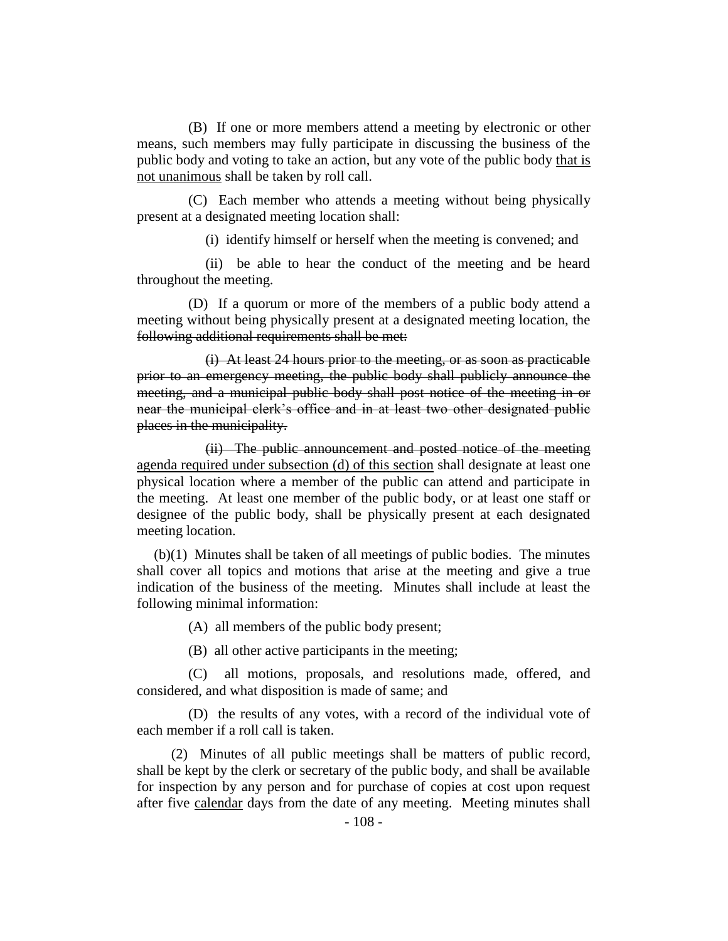(B) If one or more members attend a meeting by electronic or other means, such members may fully participate in discussing the business of the public body and voting to take an action, but any vote of the public body that is not unanimous shall be taken by roll call.

(C) Each member who attends a meeting without being physically present at a designated meeting location shall:

(i) identify himself or herself when the meeting is convened; and

(ii) be able to hear the conduct of the meeting and be heard throughout the meeting.

(D) If a quorum or more of the members of a public body attend a meeting without being physically present at a designated meeting location, the following additional requirements shall be met:

(i) At least 24 hours prior to the meeting, or as soon as practicable prior to an emergency meeting, the public body shall publicly announce the meeting, and a municipal public body shall post notice of the meeting in or near the municipal clerk's office and in at least two other designated public places in the municipality.

(ii) The public announcement and posted notice of the meeting agenda required under subsection (d) of this section shall designate at least one physical location where a member of the public can attend and participate in the meeting. At least one member of the public body, or at least one staff or designee of the public body, shall be physically present at each designated meeting location.

(b)(1) Minutes shall be taken of all meetings of public bodies. The minutes shall cover all topics and motions that arise at the meeting and give a true indication of the business of the meeting. Minutes shall include at least the following minimal information:

(A) all members of the public body present;

(B) all other active participants in the meeting;

(C) all motions, proposals, and resolutions made, offered, and considered, and what disposition is made of same; and

(D) the results of any votes, with a record of the individual vote of each member if a roll call is taken.

(2) Minutes of all public meetings shall be matters of public record, shall be kept by the clerk or secretary of the public body, and shall be available for inspection by any person and for purchase of copies at cost upon request after five calendar days from the date of any meeting. Meeting minutes shall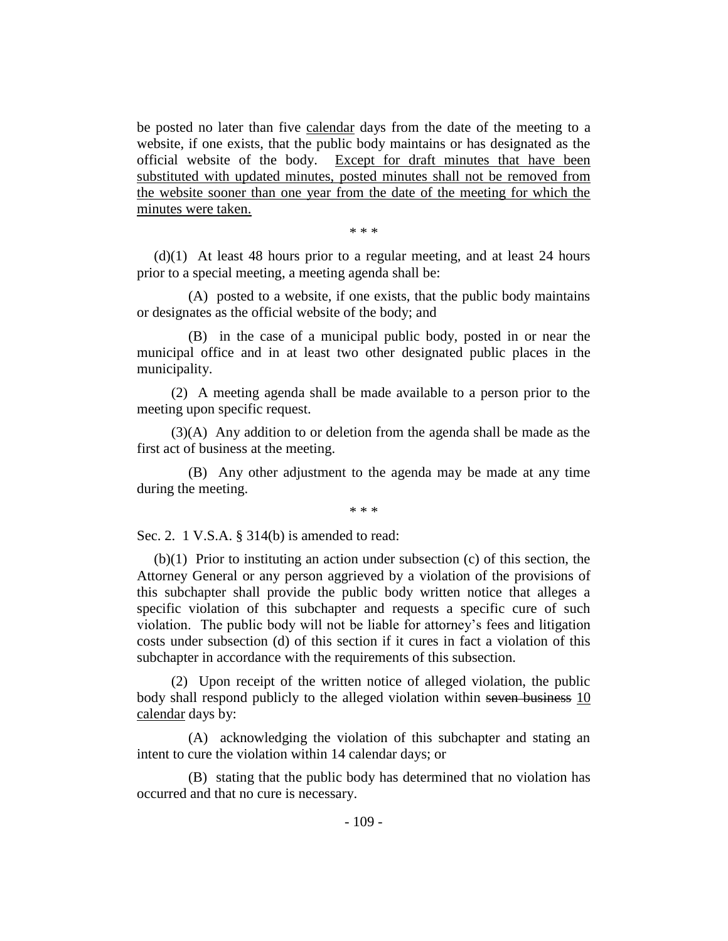be posted no later than five calendar days from the date of the meeting to a website, if one exists, that the public body maintains or has designated as the official website of the body. Except for draft minutes that have been substituted with updated minutes, posted minutes shall not be removed from the website sooner than one year from the date of the meeting for which the minutes were taken.

\* \* \*

(d)(1) At least 48 hours prior to a regular meeting, and at least 24 hours prior to a special meeting, a meeting agenda shall be:

(A) posted to a website, if one exists, that the public body maintains or designates as the official website of the body; and

(B) in the case of a municipal public body, posted in or near the municipal office and in at least two other designated public places in the municipality.

(2) A meeting agenda shall be made available to a person prior to the meeting upon specific request.

(3)(A) Any addition to or deletion from the agenda shall be made as the first act of business at the meeting.

(B) Any other adjustment to the agenda may be made at any time during the meeting.

\* \* \*

Sec. 2. 1 V.S.A. § 314(b) is amended to read:

(b)(1) Prior to instituting an action under subsection (c) of this section, the Attorney General or any person aggrieved by a violation of the provisions of this subchapter shall provide the public body written notice that alleges a specific violation of this subchapter and requests a specific cure of such violation. The public body will not be liable for attorney's fees and litigation costs under subsection (d) of this section if it cures in fact a violation of this subchapter in accordance with the requirements of this subsection.

(2) Upon receipt of the written notice of alleged violation, the public body shall respond publicly to the alleged violation within seven business 10 calendar days by:

(A) acknowledging the violation of this subchapter and stating an intent to cure the violation within 14 calendar days; or

(B) stating that the public body has determined that no violation has occurred and that no cure is necessary.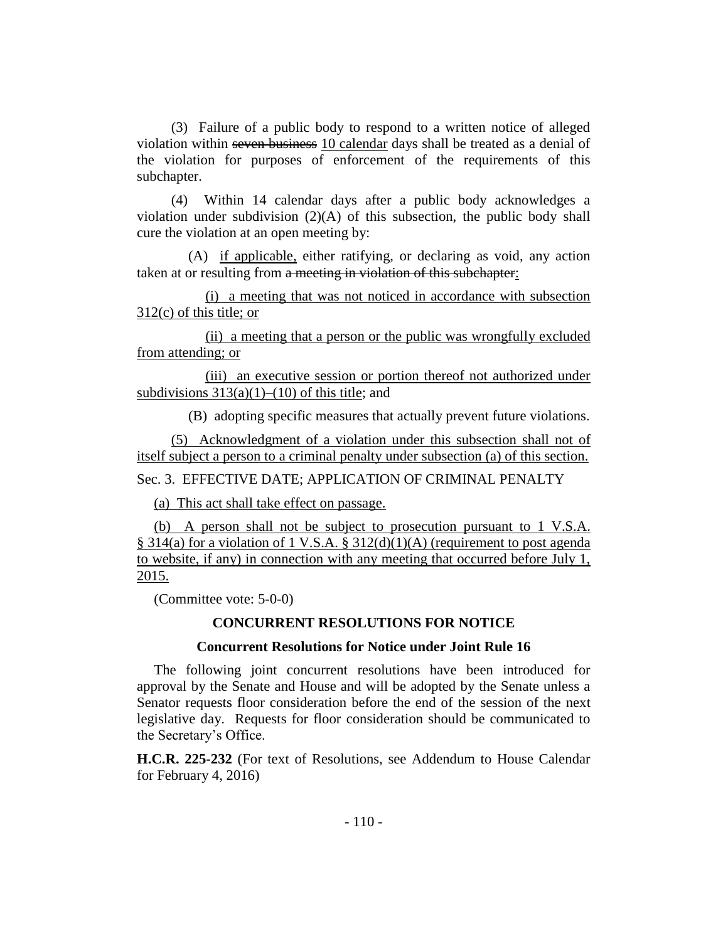(3) Failure of a public body to respond to a written notice of alleged violation within seven business 10 calendar days shall be treated as a denial of the violation for purposes of enforcement of the requirements of this subchapter.

(4) Within 14 calendar days after a public body acknowledges a violation under subdivision  $(2)(A)$  of this subsection, the public body shall cure the violation at an open meeting by:

(A) if applicable, either ratifying, or declaring as void, any action taken at or resulting from a meeting in violation of this subchapter:

(i) a meeting that was not noticed in accordance with subsection 312(c) of this title; or

(ii) a meeting that a person or the public was wrongfully excluded from attending; or

(iii) an executive session or portion thereof not authorized under subdivisions  $313(a)(1)–(10)$  of this title; and

(B) adopting specific measures that actually prevent future violations.

(5) Acknowledgment of a violation under this subsection shall not of itself subject a person to a criminal penalty under subsection (a) of this section.

Sec. 3. EFFECTIVE DATE; APPLICATION OF CRIMINAL PENALTY

(a) This act shall take effect on passage.

(b) A person shall not be subject to prosecution pursuant to 1 V.S.A. § 314(a) for a violation of 1 V.S.A. § 312(d)(1)(A) (requirement to post agenda to website, if any) in connection with any meeting that occurred before July 1, 2015.

(Committee vote: 5-0-0)

# **CONCURRENT RESOLUTIONS FOR NOTICE**

## **Concurrent Resolutions for Notice under Joint Rule 16**

The following joint concurrent resolutions have been introduced for approval by the Senate and House and will be adopted by the Senate unless a Senator requests floor consideration before the end of the session of the next legislative day. Requests for floor consideration should be communicated to the Secretary's Office.

**H.C.R. 225-232** (For text of Resolutions, see Addendum to House Calendar for February 4, 2016)